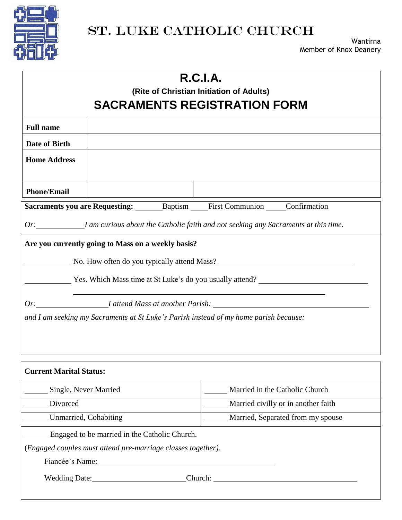

## ST. LUKE CATHOLIC CHURCH

| R.C.I.A.<br>(Rite of Christian Initiation of Adults)<br><b>SACRAMENTS REGISTRATION FORM</b>                                                                                                                                                                                                                                                     |  |                                                                                           |  |  |
|-------------------------------------------------------------------------------------------------------------------------------------------------------------------------------------------------------------------------------------------------------------------------------------------------------------------------------------------------|--|-------------------------------------------------------------------------------------------|--|--|
| <b>Full name</b>                                                                                                                                                                                                                                                                                                                                |  |                                                                                           |  |  |
| Date of Birth                                                                                                                                                                                                                                                                                                                                   |  |                                                                                           |  |  |
| <b>Home Address</b>                                                                                                                                                                                                                                                                                                                             |  |                                                                                           |  |  |
| <b>Phone/Email</b>                                                                                                                                                                                                                                                                                                                              |  |                                                                                           |  |  |
|                                                                                                                                                                                                                                                                                                                                                 |  | Sacraments you are Requesting: ________ Baptism ______ First Communion _____ Confirmation |  |  |
| Or: <i>I am curious about the Catholic faith and not seeking any Sacraments at this time</i> .                                                                                                                                                                                                                                                  |  |                                                                                           |  |  |
| Are you currently going to Mass on a weekly basis?<br>No. How often do you typically attend Mass?<br>The Yes. Which Mass time at St Luke's do you usually attend?<br>Or: _______________________I attend Mass at another Parish: _____________________<br>and I am seeking my Sacraments at St Luke's Parish instead of my home parish because: |  |                                                                                           |  |  |
| <b>Current Marital Status:</b>                                                                                                                                                                                                                                                                                                                  |  |                                                                                           |  |  |
| Single, Never Married                                                                                                                                                                                                                                                                                                                           |  | Married in the Catholic Church                                                            |  |  |
| Divorced                                                                                                                                                                                                                                                                                                                                        |  | Married civilly or in another faith                                                       |  |  |
| Unmarried, Cohabiting                                                                                                                                                                                                                                                                                                                           |  | Married, Separated from my spouse                                                         |  |  |
| Engaged to be married in the Catholic Church.<br>(Engaged couples must attend pre-marriage classes together).<br>Fiancée's Name:                                                                                                                                                                                                                |  |                                                                                           |  |  |
| Wedding Date: Church: Church:                                                                                                                                                                                                                                                                                                                   |  |                                                                                           |  |  |